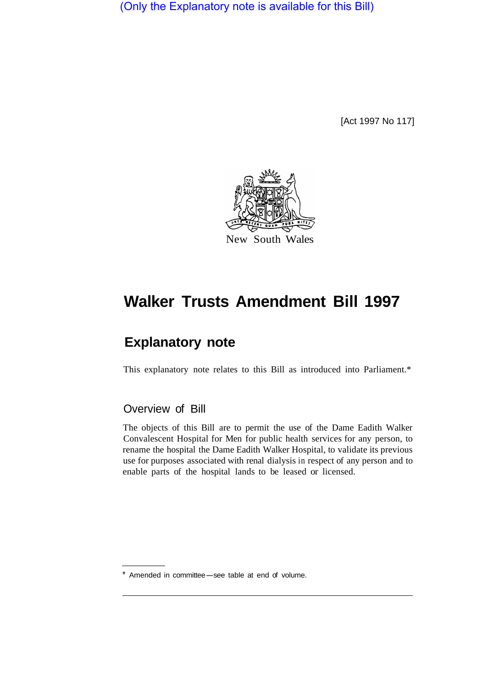(Only the Explanatory note is available for this Bill)

[Act 1997 No 117]



# **Walker Trusts Amendment Bill 1997**

## **Explanatory note**

This explanatory note relates to this Bill as introduced into Parliament.\*

### Overview of Bill

The objects of this Bill are to permit the use of the Dame Eadith Walker Convalescent Hospital for Men for public health services for any person, to rename the hospital the Dame Eadith Walker Hospital, to validate its previous use for purposes associated with renal dialysis in respect of any person and to enable parts of the hospital lands to be leased or licensed.

Amended in committee-see table at end of volume.